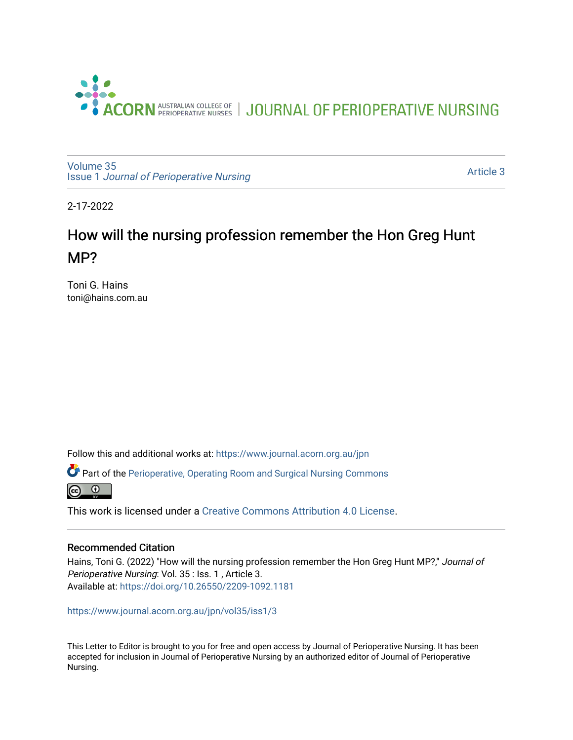

[Volume 35](https://www.journal.acorn.org.au/jpn/vol35) Issue 1 [Journal of Perioperative Nursing](https://www.journal.acorn.org.au/jpn/vol35/iss1)

[Article 3](https://www.journal.acorn.org.au/jpn/vol35/iss1/3) 

2-17-2022

## How will the nursing profession remember the Hon Greg Hunt MP?

Toni G. Hains toni@hains.com.au

Follow this and additional works at: [https://www.journal.acorn.org.au/jpn](https://www.journal.acorn.org.au/jpn?utm_source=www.journal.acorn.org.au%2Fjpn%2Fvol35%2Fiss1%2F3&utm_medium=PDF&utm_campaign=PDFCoverPages) 

Part of the [Perioperative, Operating Room and Surgical Nursing Commons](http://network.bepress.com/hgg/discipline/726?utm_source=www.journal.acorn.org.au%2Fjpn%2Fvol35%2Fiss1%2F3&utm_medium=PDF&utm_campaign=PDFCoverPages)



This work is licensed under a [Creative Commons Attribution 4.0 License](https://creativecommons.org/licenses/by/4.0/).

## Recommended Citation

Hains, Toni G. (2022) "How will the nursing profession remember the Hon Greg Hunt MP?," Journal of Perioperative Nursing: Vol. 35 : Iss. 1 , Article 3. Available at:<https://doi.org/10.26550/2209-1092.1181>

[https://www.journal.acorn.org.au/jpn/vol35/iss1/3](10.26550/2209-1092.1181?utm_source=www.journal.acorn.org.au%2Fjpn%2Fvol35%2Fiss1%2F3&utm_medium=PDF&utm_campaign=PDFCoverPages)

This Letter to Editor is brought to you for free and open access by Journal of Perioperative Nursing. It has been accepted for inclusion in Journal of Perioperative Nursing by an authorized editor of Journal of Perioperative Nursing.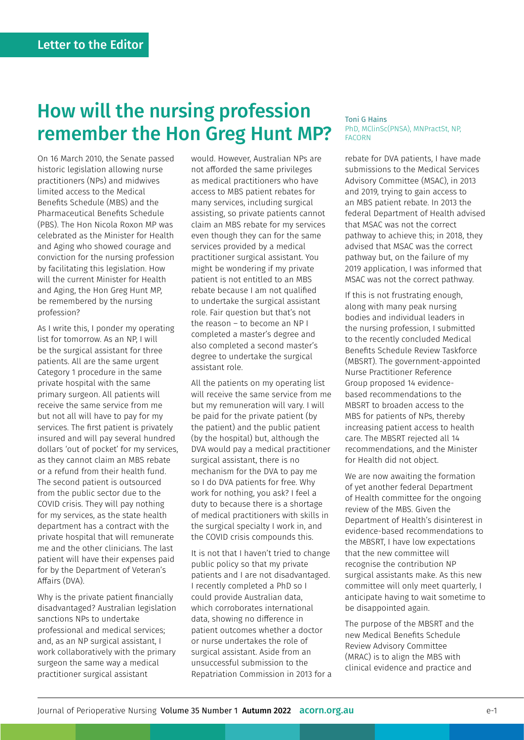## How will the nursing profession remember the Hon Greg Hunt MP?

On 16 March 2010, the Senate passed historic legislation allowing nurse practitioners (NPs) and midwives limited access to the Medical Benefits Schedule (MBS) and the Pharmaceutical Benefits Schedule (PBS). The Hon Nicola Roxon MP was celebrated as the Minister for Health and Aging who showed courage and conviction for the nursing profession by facilitating this legislation. How will the current Minister for Health and Aging, the Hon Greg Hunt MP, be remembered by the nursing profession?

As I write this, I ponder my operating list for tomorrow. As an NP, I will be the surgical assistant for three patients. All are the same urgent Category 1 procedure in the same private hospital with the same primary surgeon. All patients will receive the same service from me but not all will have to pay for my services. The first patient is privately insured and will pay several hundred dollars 'out of pocket' for my services, as they cannot claim an MBS rebate or a refund from their health fund. The second patient is outsourced from the public sector due to the COVID crisis. They will pay nothing for my services, as the state health department has a contract with the private hospital that will remunerate me and the other clinicians. The last patient will have their expenses paid for by the Department of Veteran's Affairs (DVA).

Why is the private patient financially disadvantaged? Australian legislation sanctions NPs to undertake professional and medical services; and, as an NP surgical assistant, I work collaboratively with the primary surgeon the same way a medical practitioner surgical assistant

would. However, Australian NPs are not afforded the same privileges as medical practitioners who have access to MBS patient rebates for many services, including surgical assisting, so private patients cannot claim an MBS rebate for my services even though they can for the same services provided by a medical practitioner surgical assistant. You might be wondering if my private patient is not entitled to an MBS rebate because I am not qualified to undertake the surgical assistant role. Fair question but that's not the reason – to become an NP I completed a master's degree and also completed a second master's degree to undertake the surgical assistant role.

All the patients on my operating list will receive the same service from me but my remuneration will vary. I will be paid for the private patient (by the patient) and the public patient (by the hospital) but, although the DVA would pay a medical practitioner surgical assistant, there is no mechanism for the DVA to pay me so I do DVA patients for free. Why work for nothing, you ask? I feel a duty to because there is a shortage of medical practitioners with skills in the surgical specialty I work in, and the COVID crisis compounds this.

It is not that I haven't tried to change public policy so that my private patients and I are not disadvantaged. I recently completed a PhD so I could provide Australian data, which corroborates international data, showing no difference in patient outcomes whether a doctor or nurse undertakes the role of surgical assistant. Aside from an unsuccessful submission to the Repatriation Commission in 2013 for a

## Toni G Hains PhD, MClinSc(PNSA), MNPractSt, NP, FACORN

rebate for DVA patients, I have made submissions to the Medical Services Advisory Committee (MSAC), in 2013 and 2019, trying to gain access to an MBS patient rebate. In 2013 the federal Department of Health advised that MSAC was not the correct pathway to achieve this; in 2018, they advised that MSAC was the correct pathway but, on the failure of my 2019 application, I was informed that MSAC was not the correct pathway.

If this is not frustrating enough, along with many peak nursing bodies and individual leaders in the nursing profession, I submitted to the recently concluded Medical Benefits Schedule Review Taskforce (MBSRT). The government-appointed Nurse Practitioner Reference Group proposed 14 evidencebased recommendations to the MBSRT to broaden access to the MBS for patients of NPs, thereby increasing patient access to health care. The MBSRT rejected all 14 recommendations, and the Minister for Health did not object.

We are now awaiting the formation of yet another federal Department of Health committee for the ongoing review of the MBS. Given the Department of Health's disinterest in evidence-based recommendations to the MBSRT, I have low expectations that the new committee will recognise the contribution NP surgical assistants make. As this new committee will only meet quarterly, I anticipate having to wait sometime to be disappointed again.

The purpose of the MBSRT and the new Medical Benefits Schedule Review Advisory Committee (MRAC) is to align the MBS with clinical evidence and practice and